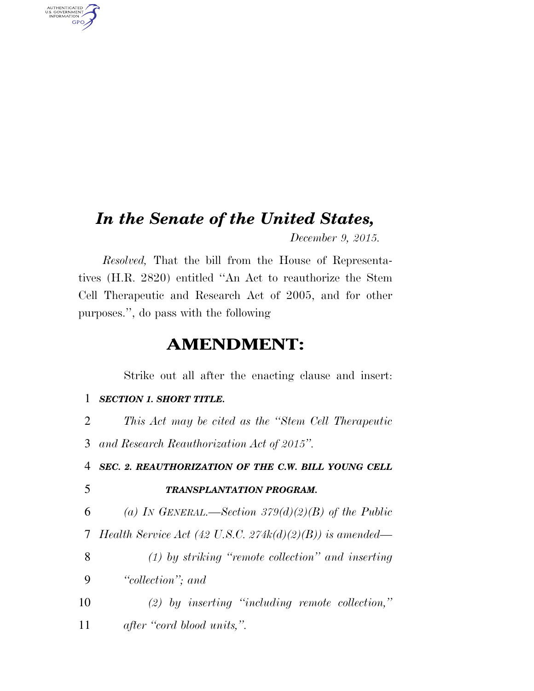## *In the Senate of the United States,*

*December 9, 2015.* 

*Resolved,* That the bill from the House of Representatives (H.R. 2820) entitled ''An Act to reauthorize the Stem Cell Therapeutic and Research Act of 2005, and for other purposes.'', do pass with the following

### **AMENDMENT:**

Strike out all after the enacting clause and insert:

#### 1 *SECTION 1. SHORT TITLE.*

2 *This Act may be cited as the ''Stem Cell Therapeutic* 

3 *and Research Reauthorization Act of 2015''.* 

4 *SEC. 2. REAUTHORIZATION OF THE C.W. BILL YOUNG CELL* 

AUTHENTICATED<br>U.S. GOVERNMENT<br>INFORMATION GPO

#### 5 *TRANSPLANTATION PROGRAM.*

6 *(a) IN GENERAL.—Section 379(d)(2)(B) of the Public* 

- 7 *Health Service Act (42 U.S.C. 274k(d)(2)(B)) is amended—*
- 8 *(1) by striking ''remote collection'' and inserting*  9 *''collection''; and*
- 10 *(2) by inserting ''including remote collection,''*  11 *after ''cord blood units,''.*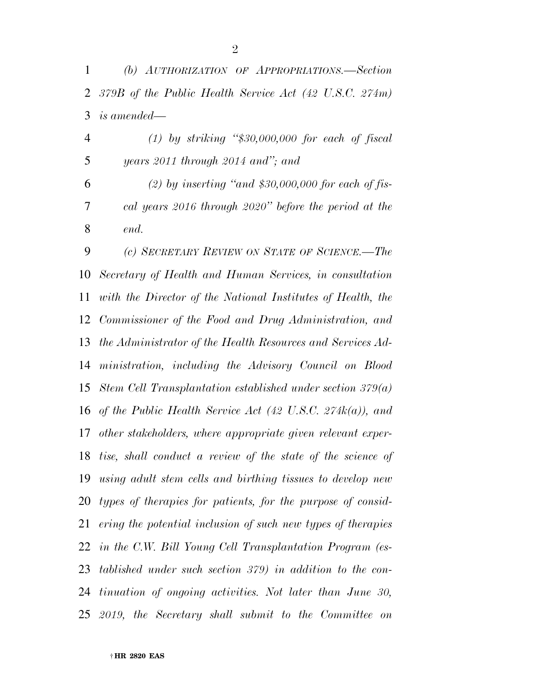*(b) AUTHORIZATION OF APPROPRIATIONS.—Section 379B of the Public Health Service Act (42 U.S.C. 274m) is amended—* 

 *(1) by striking ''\$30,000,000 for each of fiscal years 2011 through 2014 and''; and* 

 *(2) by inserting ''and \$30,000,000 for each of fis- cal years 2016 through 2020'' before the period at the end.* 

 *(c) SECRETARY REVIEW ON STATE OF SCIENCE.—The Secretary of Health and Human Services, in consultation with the Director of the National Institutes of Health, the Commissioner of the Food and Drug Administration, and the Administrator of the Health Resources and Services Ad- ministration, including the Advisory Council on Blood Stem Cell Transplantation established under section 379(a) of the Public Health Service Act (42 U.S.C. 274k(a)), and other stakeholders, where appropriate given relevant exper- tise, shall conduct a review of the state of the science of using adult stem cells and birthing tissues to develop new types of therapies for patients, for the purpose of consid- ering the potential inclusion of such new types of therapies in the C.W. Bill Young Cell Transplantation Program (es- tablished under such section 379) in addition to the con- tinuation of ongoing activities. Not later than June 30, 2019, the Secretary shall submit to the Committee on*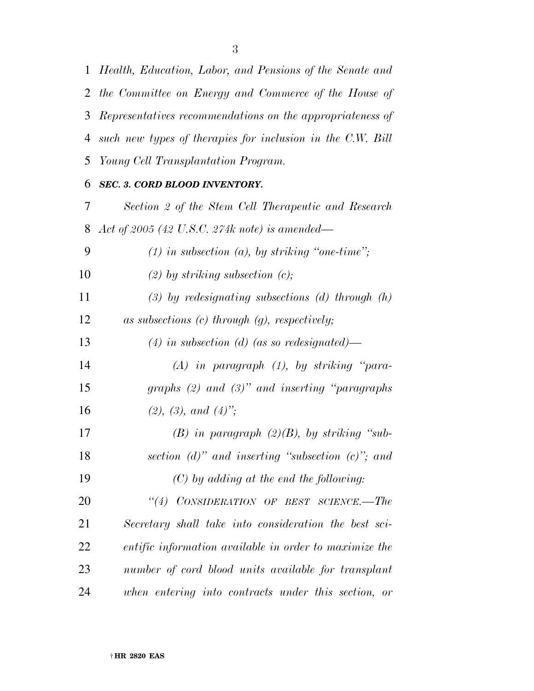*Health, Education, Labor, and Pensions of the Senate and* 

 *the Committee on Energy and Commerce of the House of Representatives recommendations on the appropriateness of such new types of therapies for inclusion in the C.W. Bill Young Cell Transplantation Program. SEC. 3. CORD BLOOD INVENTORY. Section 2 of the Stem Cell Therapeutic and Research Act of 2005 (42 U.S.C. 274k note) is amended— (1) in subsection (a), by striking ''one-time''; (2) by striking subsection (c); (3) by redesignating subsections (d) through (h) as subsections (c) through (g), respectively; (4) in subsection (d) (as so redesignated)— (A) in paragraph (1), by striking ''para- graphs (2) and (3)'' and inserting ''paragraphs (2), (3), and (4)''; (B) in paragraph (2)(B), by striking ''sub- section (d)'' and inserting ''subsection (c)''; and (C) by adding at the end the following: ''(4) CONSIDERATION OF BEST SCIENCE.—The Secretary shall take into consideration the best sci- entific information available in order to maximize the number of cord blood units available for transplant when entering into contracts under this section, or*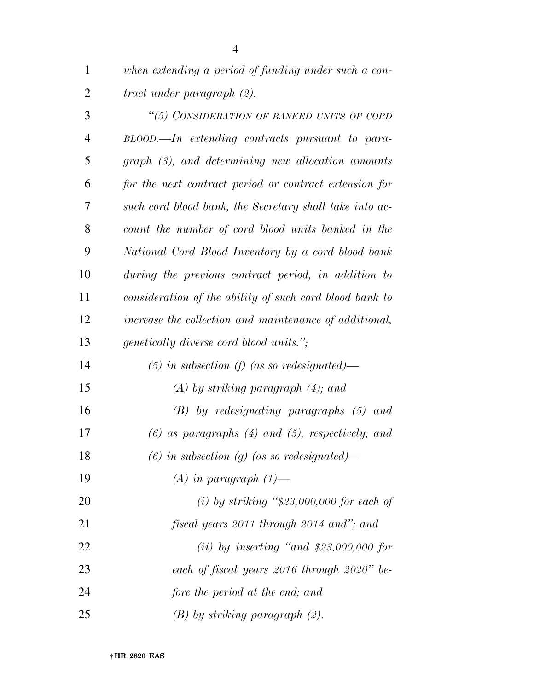*when extending a period of funding under such a con-tract under paragraph (2).* 

| 3  | "(5) CONSIDERATION OF BANKED UNITS OF CORD              |
|----|---------------------------------------------------------|
| 4  | $BLOOD$ —In extending contracts pursuant to para-       |
| 5  | $graph$ (3), and determining new allocation amounts     |
| 6  | for the next contract period or contract extension for  |
| 7  | such cord blood bank, the Secretary shall take into ac- |
| 8  | count the number of cord blood units banked in the      |
| 9  | National Cord Blood Inventory by a cord blood bank      |
| 10 | during the previous contract period, in addition to     |
| 11 | consideration of the ability of such cord blood bank to |
| 12 | increase the collection and maintenance of additional,  |
| 13 | <i>genetically diverse cord blood units."</i> ;         |
| 14 | $(5)$ in subsection (f) (as so redesignated)—           |
| 15 | $(A)$ by striking paragraph $(4)$ ; and                 |
| 16 | $(B)$ by redesignating paragraphs $(5)$ and             |
| 17 | $(6)$ as paragraphs $(4)$ and $(5)$ , respectively; and |
| 18 | (6) in subsection (g) (as so redesignated)—             |
| 19 | $(A)$ in paragraph $(1)$ —                              |
| 20 | (i) by striking " $$23,000,000$ for each of             |
| 21 | fiscal years 2011 through 2014 and"; and                |
| 22 | (ii) by inserting "and $$23,000,000$ for                |
| 23 | each of fiscal years 2016 through 2020" be-             |
| 24 | fore the period at the end; and                         |
| 25 | $(B)$ by striking paragraph $(2)$ .                     |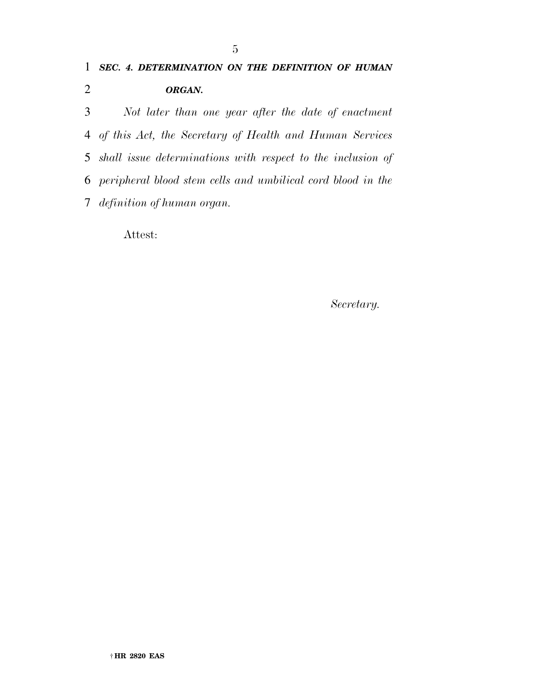*Not later than one year after the date of enactment of this Act, the Secretary of Health and Human Services shall issue determinations with respect to the inclusion of peripheral blood stem cells and umbilical cord blood in the definition of human organ.* 

Attest:

*Secretary.*